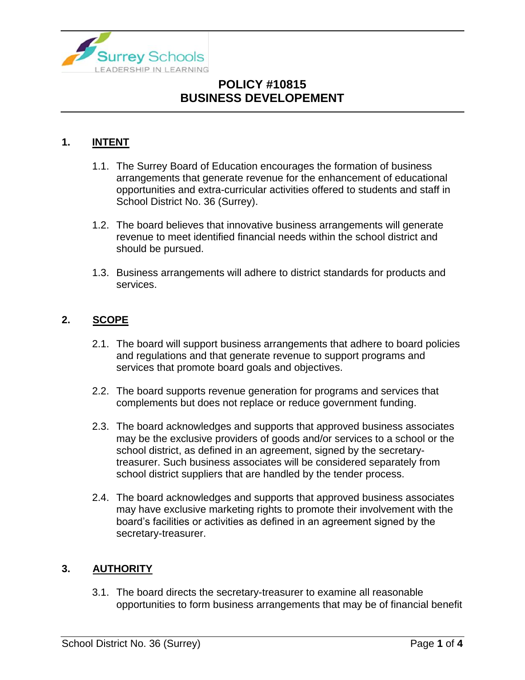

### **1. INTENT**

- 1.1. The Surrey Board of Education encourages the formation of business arrangements that generate revenue for the enhancement of educational opportunities and extra-curricular activities offered to students and staff in School District No. 36 (Surrey).
- 1.2. The board believes that innovative business arrangements will generate revenue to meet identified financial needs within the school district and should be pursued.
- 1.3. Business arrangements will adhere to district standards for products and services.

### **2. SCOPE**

- 2.1. The board will support business arrangements that adhere to board policies and regulations and that generate revenue to support programs and services that promote board goals and objectives.
- 2.2. The board supports revenue generation for programs and services that complements but does not replace or reduce government funding.
- 2.3. The board acknowledges and supports that approved business associates may be the exclusive providers of goods and/or services to a school or the school district, as defined in an agreement, signed by the secretarytreasurer. Such business associates will be considered separately from school district suppliers that are handled by the tender process.
- 2.4. The board acknowledges and supports that approved business associates may have exclusive marketing rights to promote their involvement with the board's facilities or activities as defined in an agreement signed by the secretary-treasurer.

#### **3. AUTHORITY**

3.1. The board directs the secretary-treasurer to examine all reasonable opportunities to form business arrangements that may be of financial benefit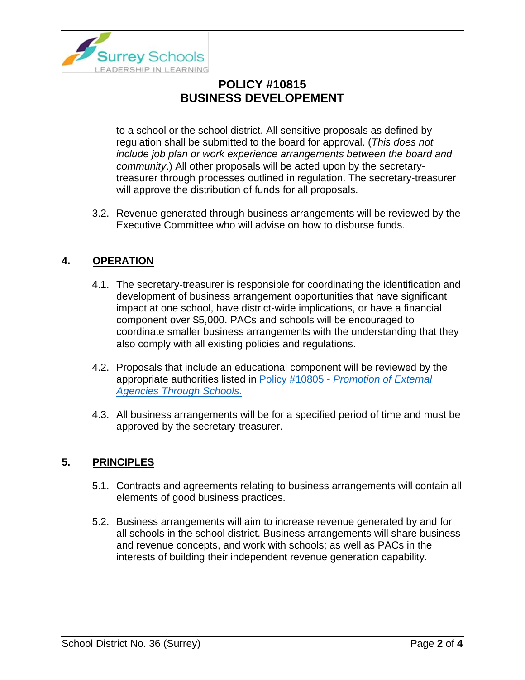

to a school or the school district. All sensitive proposals as defined by regulation shall be submitted to the board for approval. (*This does not include job plan or work experience arrangements between the board and community*.) All other proposals will be acted upon by the secretarytreasurer through processes outlined in regulation. The secretary-treasurer will approve the distribution of funds for all proposals.

3.2. Revenue generated through business arrangements will be reviewed by the Executive Committee who will advise on how to disburse funds.

### **4. OPERATION**

- 4.1. The secretary-treasurer is responsible for coordinating the identification and development of business arrangement opportunities that have significant impact at one school, have district-wide implications, or have a financial component over \$5,000. PACs and schools will be encouraged to coordinate smaller business arrangements with the understanding that they also comply with all existing policies and regulations.
- 4.2. Proposals that include an educational component will be reviewed by the appropriate authorities listed in Policy #10805 - *[Promotion of External](https://www.surreyschools.ca/departments/SECT/PoliciesRegulations/section_10000/Documents/10805%20Policy.pdf)  [Agencies Through Schools](https://www.surreyschools.ca/departments/SECT/PoliciesRegulations/section_10000/Documents/10805%20Policy.pdf)*.
- 4.3. All business arrangements will be for a specified period of time and must be approved by the secretary-treasurer.

#### **5. PRINCIPLES**

- 5.1. Contracts and agreements relating to business arrangements will contain all elements of good business practices.
- 5.2. Business arrangements will aim to increase revenue generated by and for all schools in the school district. Business arrangements will share business and revenue concepts, and work with schools; as well as PACs in the interests of building their independent revenue generation capability.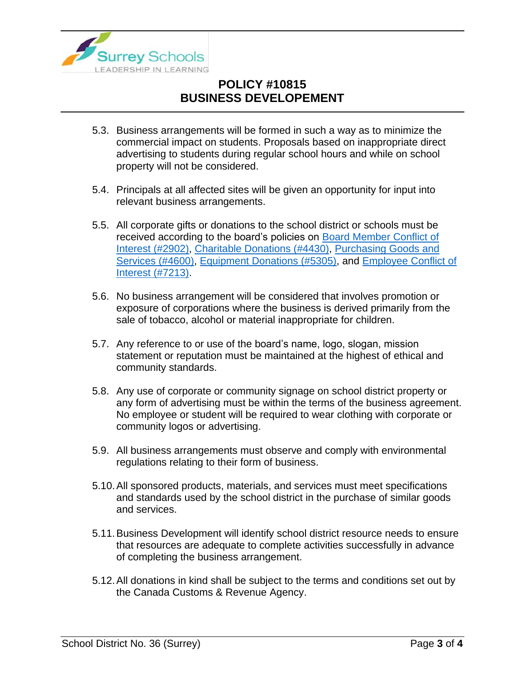

- 5.3. Business arrangements will be formed in such a way as to minimize the commercial impact on students. Proposals based on inappropriate direct advertising to students during regular school hours and while on school property will not be considered.
- 5.4. Principals at all affected sites will be given an opportunity for input into relevant business arrangements.
- 5.5. All corporate gifts or donations to the school district or schools must be received according to the board's policies on [Board Member Conflict of](https://www.surreyschools.ca/departments/SECT/PoliciesRegulations/section_2000/Documents/2902%20Policy.pdf)  [Interest \(#2902\),](https://www.surreyschools.ca/departments/SECT/PoliciesRegulations/section_2000/Documents/2902%20Policy.pdf) [Charitable Donations \(#4430\),](https://www.surreyschools.ca/departments/SECT/PoliciesRegulations/section_4000/Documents/4430%20Policy.pdf) [Purchasing Goods and](https://www.surreyschools.ca/departments/SECT/PoliciesRegulations/section_4000/Documents/4600%20Policy.pdf)  [Services \(#4600\),](https://www.surreyschools.ca/departments/SECT/PoliciesRegulations/section_4000/Documents/4600%20Policy.pdf) [Equipment Donations \(#5305\),](https://www.surreyschools.ca/departments/SECT/PoliciesRegulations/section_5000/Documents/5305%20Policy.pdf) and [Employee Conflict of](https://www.surreyschools.ca/departments/SECT/PoliciesRegulations/section_7000/Documents/7213%20Policy.pdf)  [Interest \(#7213\).](https://www.surreyschools.ca/departments/SECT/PoliciesRegulations/section_7000/Documents/7213%20Policy.pdf)
- 5.6. No business arrangement will be considered that involves promotion or exposure of corporations where the business is derived primarily from the sale of tobacco, alcohol or material inappropriate for children.
- 5.7. Any reference to or use of the board's name, logo, slogan, mission statement or reputation must be maintained at the highest of ethical and community standards.
- 5.8. Any use of corporate or community signage on school district property or any form of advertising must be within the terms of the business agreement. No employee or student will be required to wear clothing with corporate or community logos or advertising.
- 5.9. All business arrangements must observe and comply with environmental regulations relating to their form of business.
- 5.10.All sponsored products, materials, and services must meet specifications and standards used by the school district in the purchase of similar goods and services.
- 5.11.Business Development will identify school district resource needs to ensure that resources are adequate to complete activities successfully in advance of completing the business arrangement.
- 5.12.All donations in kind shall be subject to the terms and conditions set out by the Canada Customs & Revenue Agency.